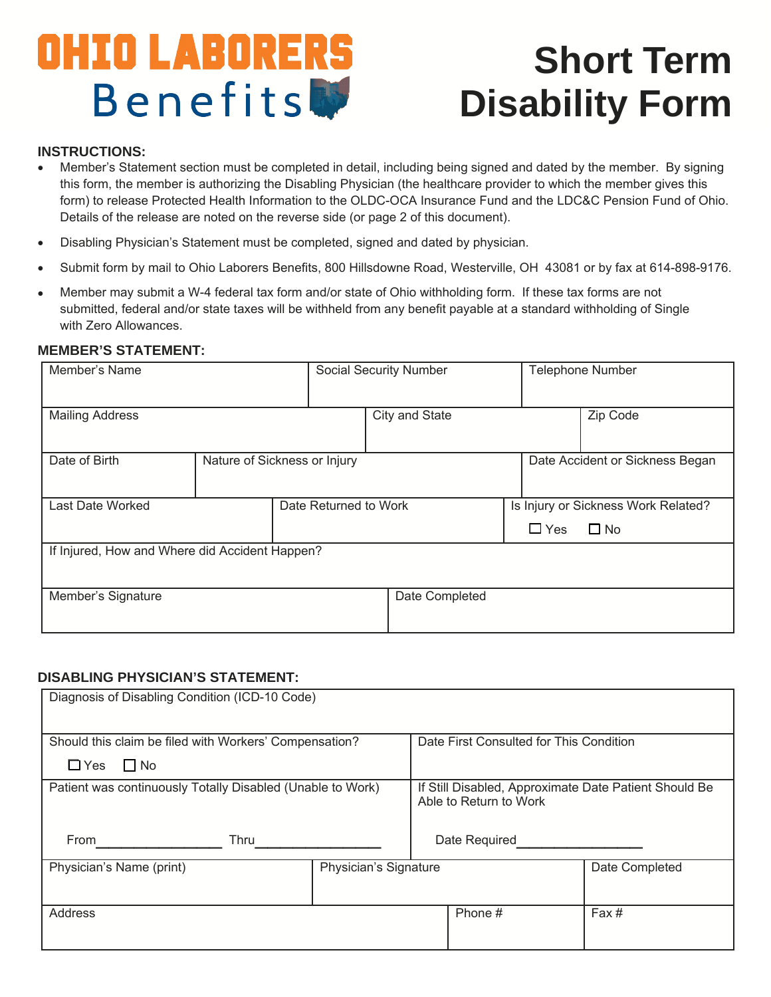# OHIO LABORERS **Benefits**

## **Short Term Disability Form**

#### **INSTRUCTIONS:**

- Member's Statement section must be completed in detail, including being signed and dated by the member. By signing this form, the member is authorizing the Disabling Physician (the healthcare provider to which the member gives this form) to release Protected Health Information to the OLDC-OCA Insurance Fund and the LDC&C Pension Fund of Ohio. Details of the release are noted on the reverse side (or page 2 of this document).
- Disabling Physician's Statement must be completed, signed and dated by physician.
- Submit form by mail to Ohio Laborers Benefits, 800 Hillsdowne Road, Westerville, OH 43081 or by fax at 614-898-9176.
- Member may submit a W-4 federal tax form and/or state of Ohio withholding form. If these tax forms are not submitted, federal and/or state taxes will be withheld from any benefit payable at a standard withholding of Single with Zero Allowances.

#### **MEMBER'S STATEMENT:**

| Member's Name                                  |                              |                       | <b>Social Security Number</b> |            | <b>Telephone Number</b>             |  |  |
|------------------------------------------------|------------------------------|-----------------------|-------------------------------|------------|-------------------------------------|--|--|
| <b>Mailing Address</b>                         |                              |                       | City and State                |            | Zip Code                            |  |  |
| Date of Birth                                  | Nature of Sickness or Injury |                       |                               |            | Date Accident or Sickness Began     |  |  |
| Last Date Worked                               |                              | Date Returned to Work |                               |            | Is Injury or Sickness Work Related? |  |  |
|                                                |                              |                       |                               | $\Box$ Yes | $\Box$ No                           |  |  |
| If Injured, How and Where did Accident Happen? |                              |                       |                               |            |                                     |  |  |
| Member's Signature                             |                              |                       | Date Completed                |            |                                     |  |  |

#### **DISABLING PHYSICIAN'S STATEMENT:**

| Diagnosis of Disabling Condition (ICD-10 Code)             |                       |                                                                                 |                |  |  |  |  |
|------------------------------------------------------------|-----------------------|---------------------------------------------------------------------------------|----------------|--|--|--|--|
| Should this claim be filed with Workers' Compensation?     |                       | Date First Consulted for This Condition                                         |                |  |  |  |  |
| $\Box$ Yes<br>$\Box$ No                                    |                       |                                                                                 |                |  |  |  |  |
| Patient was continuously Totally Disabled (Unable to Work) |                       | If Still Disabled, Approximate Date Patient Should Be<br>Able to Return to Work |                |  |  |  |  |
| <b>Thru</b><br>From                                        |                       | Date Required                                                                   |                |  |  |  |  |
| Physician's Name (print)                                   | Physician's Signature |                                                                                 | Date Completed |  |  |  |  |
| Address                                                    |                       | Phone #                                                                         | Fax#           |  |  |  |  |